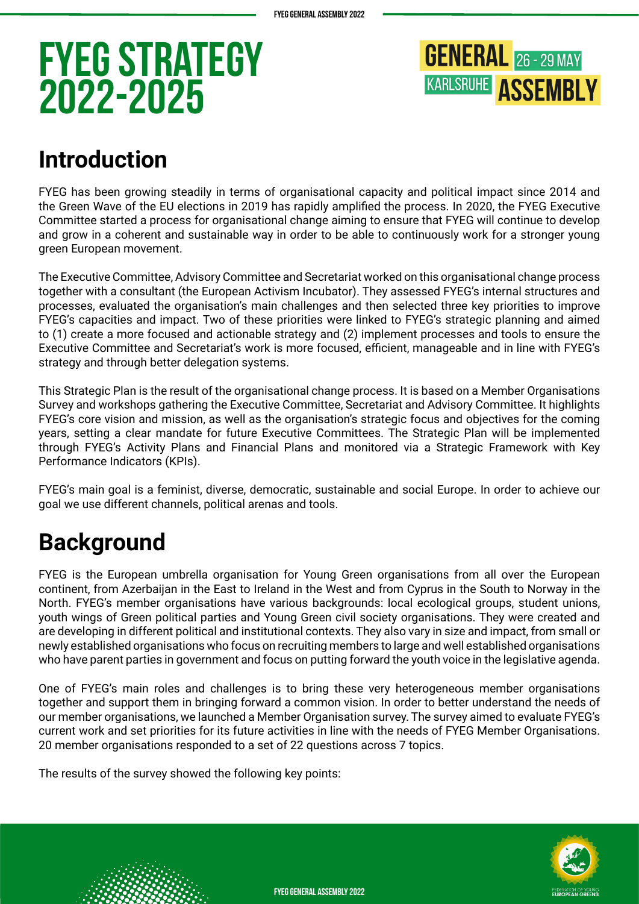

#### **Introduction**

FYEG has been growing steadily in terms of organisational capacity and political impact since 2014 and the Green Wave of the EU elections in 2019 has rapidly amplified the process. In 2020, the FYEG Executive Committee started a process for organisational change aiming to ensure that FYEG will continue to develop and grow in a coherent and sustainable way in order to be able to continuously work for a stronger young green European movement.

The Executive Committee, Advisory Committee and Secretariat worked on this organisational change process together with a consultant (the European Activism Incubator). They assessed FYEG's internal structures and processes, evaluated the organisation's main challenges and then selected three key priorities to improve FYEG's capacities and impact. Two of these priorities were linked to FYEG's strategic planning and aimed to (1) create a more focused and actionable strategy and (2) implement processes and tools to ensure the Executive Committee and Secretariat's work is more focused, efficient, manageable and in line with FYEG's strategy and through better delegation systems.

This Strategic Plan is the result of the organisational change process. It is based on a Member Organisations Survey and workshops gathering the Executive Committee, Secretariat and Advisory Committee. It highlights FYEG's core vision and mission, as well as the organisation's strategic focus and objectives for the coming years, setting a clear mandate for future Executive Committees. The Strategic Plan will be implemented through FYEG's Activity Plans and Financial Plans and monitored via a Strategic Framework with Key Performance Indicators (KPIs).

FYEG's main goal is a feminist, diverse, democratic, sustainable and social Europe. In order to achieve our goal we use different channels, political arenas and tools.

## **Background**

FYEG is the European umbrella organisation for Young Green organisations from all over the European continent, from Azerbaijan in the East to Ireland in the West and from Cyprus in the South to Norway in the North. FYEG's member organisations have various backgrounds: local ecological groups, student unions, youth wings of Green political parties and Young Green civil society organisations. They were created and are developing in different political and institutional contexts. They also vary in size and impact, from small or newly established organisations who focus on recruiting members to large and well established organisations who have parent parties in government and focus on putting forward the youth voice in the legislative agenda.

One of FYEG's main roles and challenges is to bring these very heterogeneous member organisations together and support them in bringing forward a common vision. In order to better understand the needs of our member organisations, we launched a Member Organisation survey. The survey aimed to evaluate FYEG's current work and set priorities for its future activities in line with the needs of FYEG Member Organisations. 20 member organisations responded to a set of 22 questions across 7 topics.

The results of the survey showed the following key points:



**FYEG General Assembly 2022**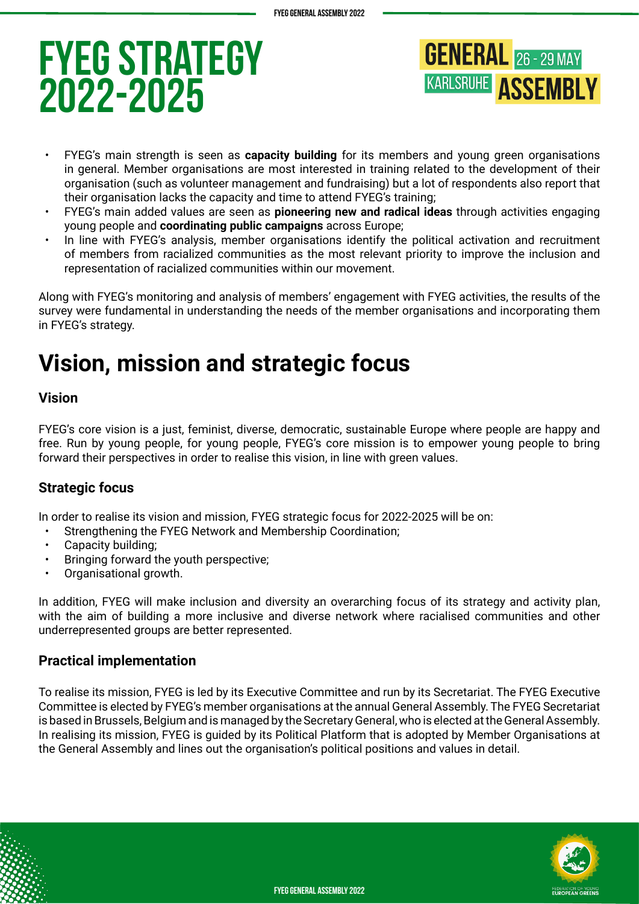

- FYEG's main strength is seen as **capacity building** for its members and young green organisations in general. Member organisations are most interested in training related to the development of their organisation (such as volunteer management and fundraising) but a lot of respondents also report that their organisation lacks the capacity and time to attend FYEG's training;
- FYEG's main added values are seen as **pioneering new and radical ideas** through activities engaging young people and **coordinating public campaigns** across Europe;
- In line with FYEG's analysis, member organisations identify the political activation and recruitment of members from racialized communities as the most relevant priority to improve the inclusion and representation of racialized communities within our movement.

Along with FYEG's monitoring and analysis of members' engagement with FYEG activities, the results of the survey were fundamental in understanding the needs of the member organisations and incorporating them in FYEG's strategy.

## **Vision, mission and strategic focus**

#### **Vision**

FYEG's core vision is a just, feminist, diverse, democratic, sustainable Europe where people are happy and free. Run by young people, for young people, FYEG's core mission is to empower young people to bring forward their perspectives in order to realise this vision, in line with green values.

#### **Strategic focus**

In order to realise its vision and mission, FYEG strategic focus for 2022-2025 will be on:

- Strengthening the FYEG Network and Membership Coordination;
- Capacity building;
- Bringing forward the youth perspective;
- Organisational growth.

In addition, FYEG will make inclusion and diversity an overarching focus of its strategy and activity plan, with the aim of building a more inclusive and diverse network where racialised communities and other underrepresented groups are better represented.

#### **Practical implementation**

To realise its mission, FYEG is led by its Executive Committee and run by its Secretariat. The FYEG Executive Committee is elected by FYEG's member organisations at the annual General Assembly. The FYEG Secretariat is based in Brussels, Belgium and is managed by the Secretary General, who is elected at the General Assembly. In realising its mission, FYEG is guided by its Political Platform that is adopted by Member Organisations at the General Assembly and lines out the organisation's political positions and values in detail.

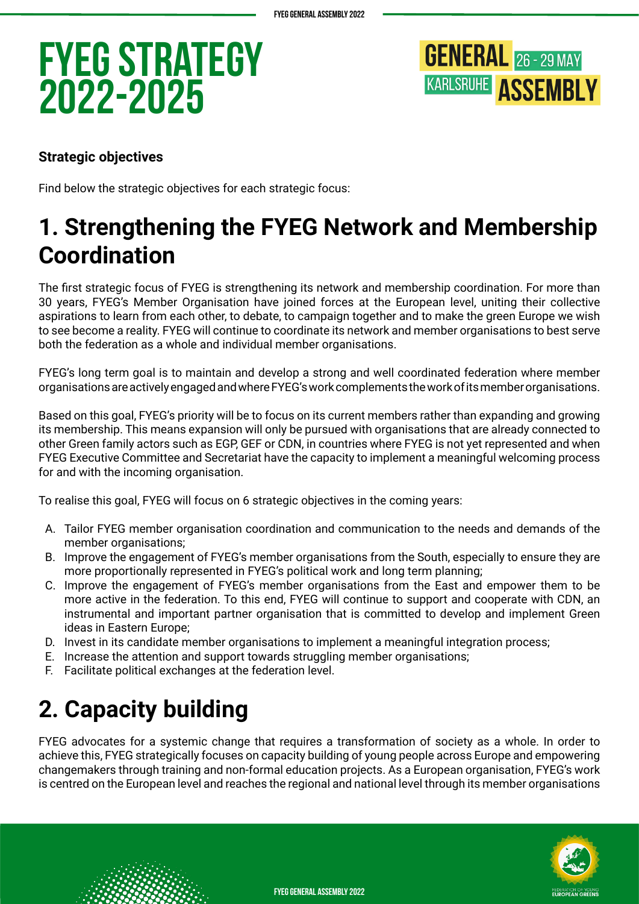

#### **Strategic objectives**

Find below the strategic objectives for each strategic focus:

## **1. Strengthening the FYEG Network and Membership Coordination**

The first strategic focus of FYEG is strengthening its network and membership coordination. For more than 30 years, FYEG's Member Organisation have joined forces at the European level, uniting their collective aspirations to learn from each other, to debate, to campaign together and to make the green Europe we wish to see become a reality. FYEG will continue to coordinate its network and member organisations to best serve both the federation as a whole and individual member organisations.

FYEG's long term goal is to maintain and develop a strong and well coordinated federation where member organisations are actively engaged and where FYEG's work complements the work of its member organisations.

Based on this goal, FYEG's priority will be to focus on its current members rather than expanding and growing its membership. This means expansion will only be pursued with organisations that are already connected to other Green family actors such as EGP, GEF or CDN, in countries where FYEG is not yet represented and when FYEG Executive Committee and Secretariat have the capacity to implement a meaningful welcoming process for and with the incoming organisation.

To realise this goal, FYEG will focus on 6 strategic objectives in the coming years:

- A. Tailor FYEG member organisation coordination and communication to the needs and demands of the member organisations;
- B. Improve the engagement of FYEG's member organisations from the South, especially to ensure they are more proportionally represented in FYEG's political work and long term planning;
- C. Improve the engagement of FYEG's member organisations from the East and empower them to be more active in the federation. To this end, FYEG will continue to support and cooperate with CDN, an instrumental and important partner organisation that is committed to develop and implement Green ideas in Eastern Europe;
- D. Invest in its candidate member organisations to implement a meaningful integration process;
- E. Increase the attention and support towards struggling member organisations;
- F. Facilitate political exchanges at the federation level.

### **2. Capacity building**

FYEG advocates for a systemic change that requires a transformation of society as a whole. In order to achieve this, FYEG strategically focuses on capacity building of young people across Europe and empowering changemakers through training and non-formal education projects. As a European organisation, FYEG's work is centred on the European level and reaches the regional and national level through its member organisations

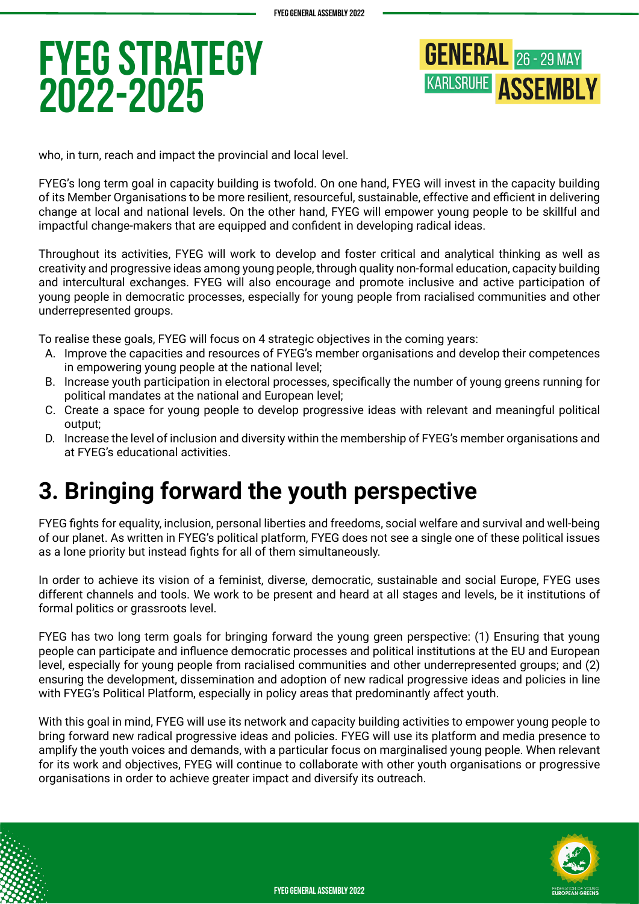

who, in turn, reach and impact the provincial and local level.

FYEG's long term goal in capacity building is twofold. On one hand, FYEG will invest in the capacity building of its Member Organisations to be more resilient, resourceful, sustainable, effective and efficient in delivering change at local and national levels. On the other hand, FYEG will empower young people to be skillful and impactful change-makers that are equipped and confident in developing radical ideas.

Throughout its activities, FYEG will work to develop and foster critical and analytical thinking as well as creativity and progressive ideas among young people, through quality non-formal education, capacity building and intercultural exchanges. FYEG will also encourage and promote inclusive and active participation of young people in democratic processes, especially for young people from racialised communities and other underrepresented groups.

To realise these goals, FYEG will focus on 4 strategic objectives in the coming years:

- A. Improve the capacities and resources of FYEG's member organisations and develop their competences in empowering young people at the national level;
- B. Increase youth participation in electoral processes, specifically the number of young greens running for political mandates at the national and European level;
- C. Create a space for young people to develop progressive ideas with relevant and meaningful political output:
- D. Increase the level of inclusion and diversity within the membership of FYEG's member organisations and at FYEG's educational activities.

## **3. Bringing forward the youth perspective**

FYEG fights for equality, inclusion, personal liberties and freedoms, social welfare and survival and well-being of our planet. As written in FYEG's political platform, FYEG does not see a single one of these political issues as a lone priority but instead fights for all of them simultaneously.

In order to achieve its vision of a feminist, diverse, democratic, sustainable and social Europe, FYEG uses different channels and tools. We work to be present and heard at all stages and levels, be it institutions of formal politics or grassroots level.

FYEG has two long term goals for bringing forward the young green perspective: (1) Ensuring that young people can participate and influence democratic processes and political institutions at the EU and European level, especially for young people from racialised communities and other underrepresented groups; and (2) ensuring the development, dissemination and adoption of new radical progressive ideas and policies in line with FYEG's Political Platform, especially in policy areas that predominantly affect youth.

With this goal in mind, FYEG will use its network and capacity building activities to empower young people to bring forward new radical progressive ideas and policies. FYEG will use its platform and media presence to amplify the youth voices and demands, with a particular focus on marginalised young people. When relevant for its work and objectives, FYEG will continue to collaborate with other youth organisations or progressive organisations in order to achieve greater impact and diversify its outreach.